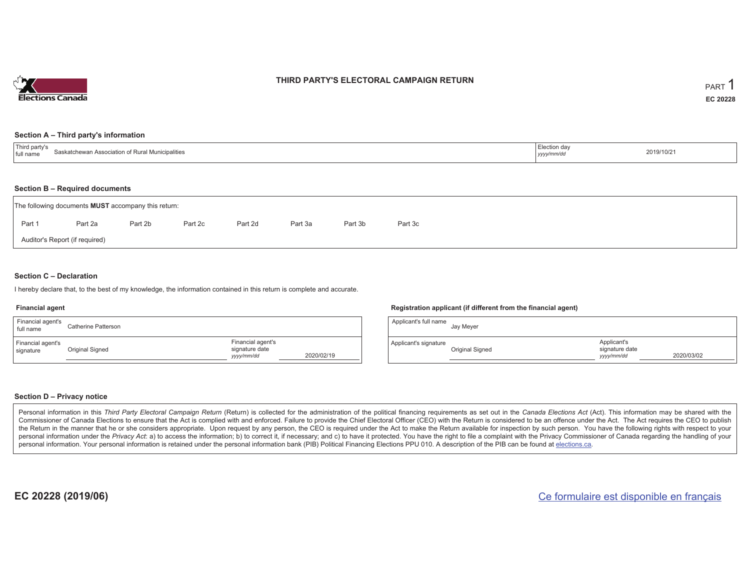

### **THIRD PARTY'S ELECTORAL CAMPAIGN RETURN**

#### **Section A – Third party's information**

| $-1$<br>' partv'<br>Saskatchewan Association of R<br>lunicipalities<br>I full name<br>the contract of the contract of the contract of the contract of the contract of the contract of the contract of | ⊥.ಆction da∨<br>yyyymm/ao | 2019/10/21 |
|-------------------------------------------------------------------------------------------------------------------------------------------------------------------------------------------------------|---------------------------|------------|
|-------------------------------------------------------------------------------------------------------------------------------------------------------------------------------------------------------|---------------------------|------------|

#### **Section B – Required documents**

|        | The following documents <b>MUST</b> accompany this return: |         |         |         |         |         |         |  |  |  |  |  |  |  |
|--------|------------------------------------------------------------|---------|---------|---------|---------|---------|---------|--|--|--|--|--|--|--|
| Part 1 | Part 2a                                                    | Part 2b | Part 2c | Part 2d | Part 3a | Part 3b | Part 3c |  |  |  |  |  |  |  |
|        | Auditor's Report (if required)                             |         |         |         |         |         |         |  |  |  |  |  |  |  |

### **Section C – Declaration**

I hereby declare that, to the best of my knowledge, the information contained in this return is complete and accurate.

#### **Financial agent**

| Financial agent's<br>full name | Catherine Patterson |                                                   |            |
|--------------------------------|---------------------|---------------------------------------------------|------------|
| Financial agent's<br>signature | Original Signed     | Financial agent's<br>signature date<br>yyyy/mm/dd | 2020/02/19 |

#### **Registration applicant (if different from the financial agent)**

| Applicant's full name | Jay Meyer       |                                             |            |
|-----------------------|-----------------|---------------------------------------------|------------|
| Applicant's signature | Original Signed | Applicant's<br>signature date<br>yyyy/mm/dd | 2020/03/02 |

### **Section D – Privacy notice**

Personal information in this Third Party Electoral Campaign Return (Return) is collected for the administration of the political financing requirements as set out in the Canada Elections Act (Act). This information may be Commissioner of Canada Elections to ensure that the Act is complied with and enforced. Failure to provide the Chief Electoral Officer (CEO) with the Return is considered to be an offence under the Act. The Act requires the the Return in the manner that he or she considers appropriate. Upon request by any person, the CEO is required under the Act to make the Return available for inspection by such person. You have the following rights with re personal information under the Privacy Act: a) to access the information; b) to correct it, if necessary; and c) to have it protected. You have the right to file a complaint with the Privacy Commissioner of Canada regardin personal information. Your personal information is retained under the personal information bank (PIB) Political Financing Elections PPU 010. A description of the PIB can be found at elections.ca.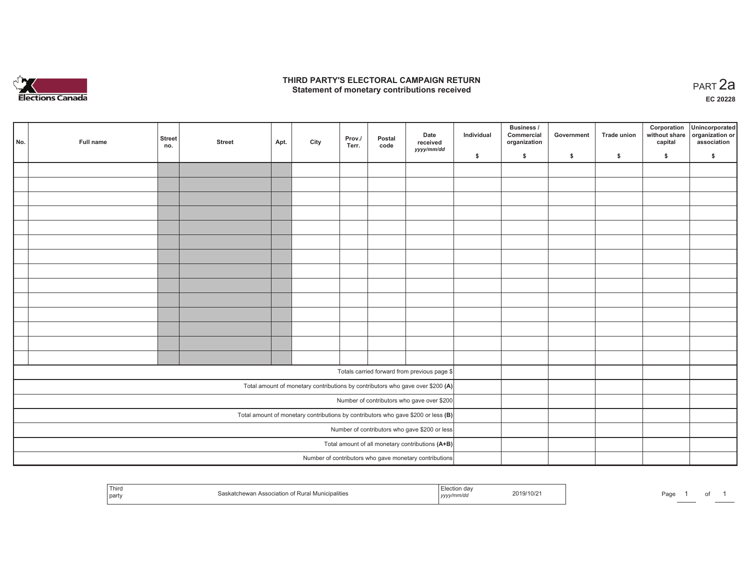

### **THIRD PARTY'S ELECTORAL CAMPAIGN RETURN HIRD PARTY'S ELECTORAL CAMPAIGN RETURN<br>Statement of monetary contributions received PART 2a**

**EC 20228**

| No. |                                                                                     | Full name | <b>Street</b><br>no.                             | <b>Street</b> | Apt. | City | Prov./<br>Terr. | Postal<br>code | Date<br>received<br>yyyy/mm/dd                         | Individual | <b>Business /</b><br>Commercial<br>organization | Government | Trade union | Corporation<br>capital | Unincorporated<br>without share organization or<br>association |
|-----|-------------------------------------------------------------------------------------|-----------|--------------------------------------------------|---------------|------|------|-----------------|----------------|--------------------------------------------------------|------------|-------------------------------------------------|------------|-------------|------------------------|----------------------------------------------------------------|
|     |                                                                                     |           |                                                  |               |      |      |                 |                |                                                        | \$         | \$                                              | \$         | \$          | \$                     | \$                                                             |
|     |                                                                                     |           |                                                  |               |      |      |                 |                |                                                        |            |                                                 |            |             |                        |                                                                |
|     |                                                                                     |           |                                                  |               |      |      |                 |                |                                                        |            |                                                 |            |             |                        |                                                                |
|     |                                                                                     |           |                                                  |               |      |      |                 |                |                                                        |            |                                                 |            |             |                        |                                                                |
|     |                                                                                     |           |                                                  |               |      |      |                 |                |                                                        |            |                                                 |            |             |                        |                                                                |
|     |                                                                                     |           |                                                  |               |      |      |                 |                |                                                        |            |                                                 |            |             |                        |                                                                |
|     |                                                                                     |           |                                                  |               |      |      |                 |                |                                                        |            |                                                 |            |             |                        |                                                                |
|     |                                                                                     |           |                                                  |               |      |      |                 |                |                                                        |            |                                                 |            |             |                        |                                                                |
|     |                                                                                     |           |                                                  |               |      |      |                 |                |                                                        |            |                                                 |            |             |                        |                                                                |
|     |                                                                                     |           |                                                  |               |      |      |                 |                |                                                        |            |                                                 |            |             |                        |                                                                |
|     |                                                                                     |           |                                                  |               |      |      |                 |                |                                                        |            |                                                 |            |             |                        |                                                                |
|     |                                                                                     |           |                                                  |               |      |      |                 |                |                                                        |            |                                                 |            |             |                        |                                                                |
|     |                                                                                     |           |                                                  |               |      |      |                 |                |                                                        |            |                                                 |            |             |                        |                                                                |
|     |                                                                                     |           |                                                  |               |      |      |                 |                |                                                        |            |                                                 |            |             |                        |                                                                |
|     |                                                                                     |           |                                                  |               |      |      |                 |                |                                                        |            |                                                 |            |             |                        |                                                                |
|     |                                                                                     |           |                                                  |               |      |      |                 |                |                                                        |            |                                                 |            |             |                        |                                                                |
|     |                                                                                     |           |                                                  |               |      |      |                 |                | Totals carried forward from previous page \$           |            |                                                 |            |             |                        |                                                                |
|     | Total amount of monetary contributions by contributors who gave over \$200 (A)      |           |                                                  |               |      |      |                 |                |                                                        |            |                                                 |            |             |                        |                                                                |
|     | Number of contributors who gave over \$200                                          |           |                                                  |               |      |      |                 |                |                                                        |            |                                                 |            |             |                        |                                                                |
|     | Total amount of monetary contributions by contributors who gave \$200 or less $(B)$ |           |                                                  |               |      |      |                 |                |                                                        |            |                                                 |            |             |                        |                                                                |
|     | Number of contributors who gave \$200 or less                                       |           |                                                  |               |      |      |                 |                |                                                        |            |                                                 |            |             |                        |                                                                |
|     |                                                                                     |           | Total amount of all monetary contributions (A+B) |               |      |      |                 |                |                                                        |            |                                                 |            |             |                        |                                                                |
|     |                                                                                     |           |                                                  |               |      |      |                 |                | Number of contributors who gave monetary contributions |            |                                                 |            |             |                        |                                                                |

| Thira<br>party | hewan Association of Rural Municipalities | yyyymmuu | 2019/10/2 | Page |  |  |  |
|----------------|-------------------------------------------|----------|-----------|------|--|--|--|
|----------------|-------------------------------------------|----------|-----------|------|--|--|--|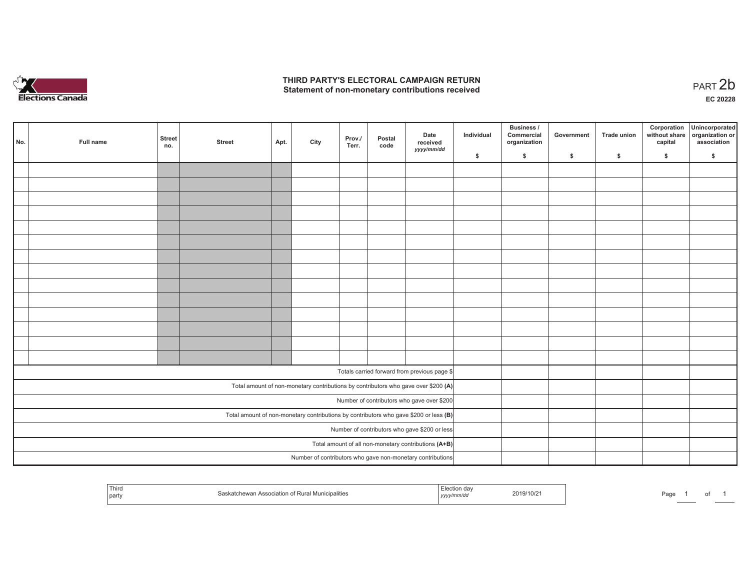

## **THIRD PARTY'S ELECTORAL CAMPAIGN RETURN**  THIRD PARTY'S ELECTORAL CAMPAIGN RETURN<br>Statement of non-monetary contributions received<br> **PART 2b**

| No.                                                                                     | Full name | <b>Street</b><br>no. | <b>Street</b> | Apt. | City | Prov./<br>Terr. | Postal<br>code | Date<br>received<br>yyyy/mm/dd                                                     | Individual | <b>Business /</b><br>Commercial<br>organization | Government | Trade union | Corporation<br>capital | Unincorporated<br>without share organization or<br>association |
|-----------------------------------------------------------------------------------------|-----------|----------------------|---------------|------|------|-----------------|----------------|------------------------------------------------------------------------------------|------------|-------------------------------------------------|------------|-------------|------------------------|----------------------------------------------------------------|
|                                                                                         |           |                      |               |      |      |                 |                |                                                                                    | \$         | \$                                              | \$         | \$          | \$                     | \$                                                             |
|                                                                                         |           |                      |               |      |      |                 |                |                                                                                    |            |                                                 |            |             |                        |                                                                |
|                                                                                         |           |                      |               |      |      |                 |                |                                                                                    |            |                                                 |            |             |                        |                                                                |
|                                                                                         |           |                      |               |      |      |                 |                |                                                                                    |            |                                                 |            |             |                        |                                                                |
|                                                                                         |           |                      |               |      |      |                 |                |                                                                                    |            |                                                 |            |             |                        |                                                                |
|                                                                                         |           |                      |               |      |      |                 |                |                                                                                    |            |                                                 |            |             |                        |                                                                |
|                                                                                         |           |                      |               |      |      |                 |                |                                                                                    |            |                                                 |            |             |                        |                                                                |
|                                                                                         |           |                      |               |      |      |                 |                |                                                                                    |            |                                                 |            |             |                        |                                                                |
|                                                                                         |           |                      |               |      |      |                 |                |                                                                                    |            |                                                 |            |             |                        |                                                                |
|                                                                                         |           |                      |               |      |      |                 |                |                                                                                    |            |                                                 |            |             |                        |                                                                |
|                                                                                         |           |                      |               |      |      |                 |                |                                                                                    |            |                                                 |            |             |                        |                                                                |
|                                                                                         |           |                      |               |      |      |                 |                |                                                                                    |            |                                                 |            |             |                        |                                                                |
|                                                                                         |           |                      |               |      |      |                 |                |                                                                                    |            |                                                 |            |             |                        |                                                                |
|                                                                                         |           |                      |               |      |      |                 |                |                                                                                    |            |                                                 |            |             |                        |                                                                |
|                                                                                         |           |                      |               |      |      |                 |                |                                                                                    |            |                                                 |            |             |                        |                                                                |
|                                                                                         |           |                      |               |      |      |                 |                | Totals carried forward from previous page \$                                       |            |                                                 |            |             |                        |                                                                |
|                                                                                         |           |                      |               |      |      |                 |                |                                                                                    |            |                                                 |            |             |                        |                                                                |
|                                                                                         |           |                      |               |      |      |                 |                | Total amount of non-monetary contributions by contributors who gave over \$200 (A) |            |                                                 |            |             |                        |                                                                |
|                                                                                         |           |                      |               |      |      |                 |                | Number of contributors who gave over \$200                                         |            |                                                 |            |             |                        |                                                                |
| Total amount of non-monetary contributions by contributors who gave \$200 or less $(B)$ |           |                      |               |      |      |                 |                |                                                                                    |            |                                                 |            |             |                        |                                                                |
| Number of contributors who gave \$200 or less                                           |           |                      |               |      |      |                 |                |                                                                                    |            |                                                 |            |             |                        |                                                                |
| Total amount of all non-monetary contributions (A+B)                                    |           |                      |               |      |      |                 |                |                                                                                    |            |                                                 |            |             |                        |                                                                |
|                                                                                         |           |                      |               |      |      |                 |                | Number of contributors who gave non-monetary contributions                         |            |                                                 |            |             |                        |                                                                |

| Third<br>Association of<br>$\cdots$<br>O(110h)<br><b>Municipalities</b><br>™ Rura∟<br>≂wan.<br>part | 019/<br>'10/2<br>ーソソソン | $\mathbf{a}$<br>au |
|-----------------------------------------------------------------------------------------------------|------------------------|--------------------|
|-----------------------------------------------------------------------------------------------------|------------------------|--------------------|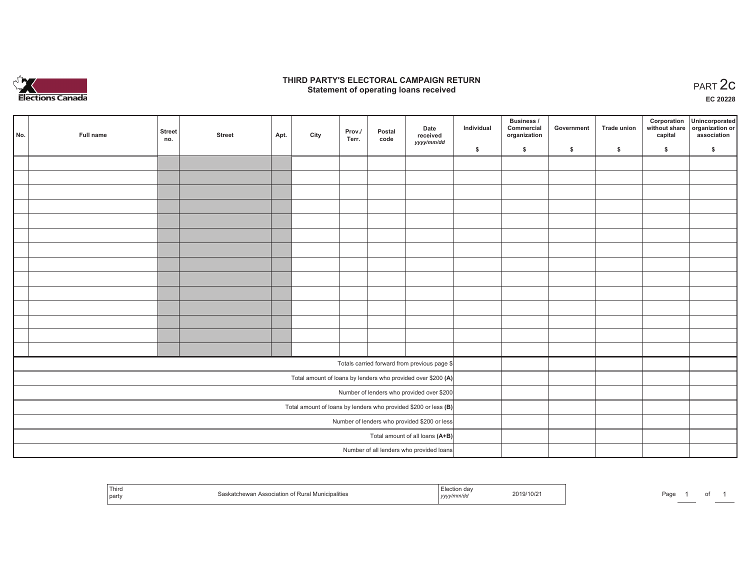

## **THIRD PARTY'S ELECTORAL CAMPAIGN RETURN STATE:** PRACT OF OPPRESS THE STATE STATE STATE STATE STATE STATE STATE STATE STATE STATE START 2C PART 2C STATE STATE STATE STATE STATE STATE STATE STATE STATE STATE STATE STATE STATE STATE STATE STATE STATE STATE STATE S

**EC 20228**

|                                 | No.                                                             | Full name | <b>Street</b><br>no. | <b>Street</b> | Apt. | City | Prov./<br>Terr. | Postal<br>code | Date<br>received                                             | Individual | Business /<br>Commercial<br>organization | Government | <b>Trade union</b> | Corporation<br>capital | Unincorporated<br>without share organization or<br>association |
|---------------------------------|-----------------------------------------------------------------|-----------|----------------------|---------------|------|------|-----------------|----------------|--------------------------------------------------------------|------------|------------------------------------------|------------|--------------------|------------------------|----------------------------------------------------------------|
|                                 |                                                                 |           |                      |               |      |      |                 |                | yyyy/mm/dd                                                   | \$         | \$                                       | \$         | \$                 | \$                     | \$                                                             |
|                                 |                                                                 |           |                      |               |      |      |                 |                |                                                              |            |                                          |            |                    |                        |                                                                |
|                                 |                                                                 |           |                      |               |      |      |                 |                |                                                              |            |                                          |            |                    |                        |                                                                |
|                                 |                                                                 |           |                      |               |      |      |                 |                |                                                              |            |                                          |            |                    |                        |                                                                |
|                                 |                                                                 |           |                      |               |      |      |                 |                |                                                              |            |                                          |            |                    |                        |                                                                |
|                                 |                                                                 |           |                      |               |      |      |                 |                |                                                              |            |                                          |            |                    |                        |                                                                |
|                                 |                                                                 |           |                      |               |      |      |                 |                |                                                              |            |                                          |            |                    |                        |                                                                |
|                                 |                                                                 |           |                      |               |      |      |                 |                |                                                              |            |                                          |            |                    |                        |                                                                |
|                                 |                                                                 |           |                      |               |      |      |                 |                |                                                              |            |                                          |            |                    |                        |                                                                |
|                                 |                                                                 |           |                      |               |      |      |                 |                |                                                              |            |                                          |            |                    |                        |                                                                |
|                                 |                                                                 |           |                      |               |      |      |                 |                |                                                              |            |                                          |            |                    |                        |                                                                |
|                                 |                                                                 |           |                      |               |      |      |                 |                |                                                              |            |                                          |            |                    |                        |                                                                |
|                                 |                                                                 |           |                      |               |      |      |                 |                |                                                              |            |                                          |            |                    |                        |                                                                |
|                                 |                                                                 |           |                      |               |      |      |                 |                |                                                              |            |                                          |            |                    |                        |                                                                |
|                                 |                                                                 |           |                      |               |      |      |                 |                |                                                              |            |                                          |            |                    |                        |                                                                |
|                                 |                                                                 |           |                      |               |      |      |                 |                | Totals carried forward from previous page \$                 |            |                                          |            |                    |                        |                                                                |
|                                 |                                                                 |           |                      |               |      |      |                 |                | Total amount of loans by lenders who provided over \$200 (A) |            |                                          |            |                    |                        |                                                                |
|                                 | Number of lenders who provided over \$200                       |           |                      |               |      |      |                 |                |                                                              |            |                                          |            |                    |                        |                                                                |
|                                 | Total amount of loans by lenders who provided \$200 or less (B) |           |                      |               |      |      |                 |                |                                                              |            |                                          |            |                    |                        |                                                                |
|                                 | Number of lenders who provided \$200 or less                    |           |                      |               |      |      |                 |                |                                                              |            |                                          |            |                    |                        |                                                                |
| Total amount of all loans (A+B) |                                                                 |           |                      |               |      |      |                 |                |                                                              |            |                                          |            |                    |                        |                                                                |
|                                 |                                                                 |           |                      |               |      |      |                 |                | Number of all lenders who provided loans                     |            |                                          |            |                    |                        |                                                                |

| Third<br>party | Patchewan Association of Rura∟<br><b>MUNICIDANTIES</b><br>paskat | ,,,,, | 2019/10/2 | ⊡aα∈ |  |  |  |
|----------------|------------------------------------------------------------------|-------|-----------|------|--|--|--|
|----------------|------------------------------------------------------------------|-------|-----------|------|--|--|--|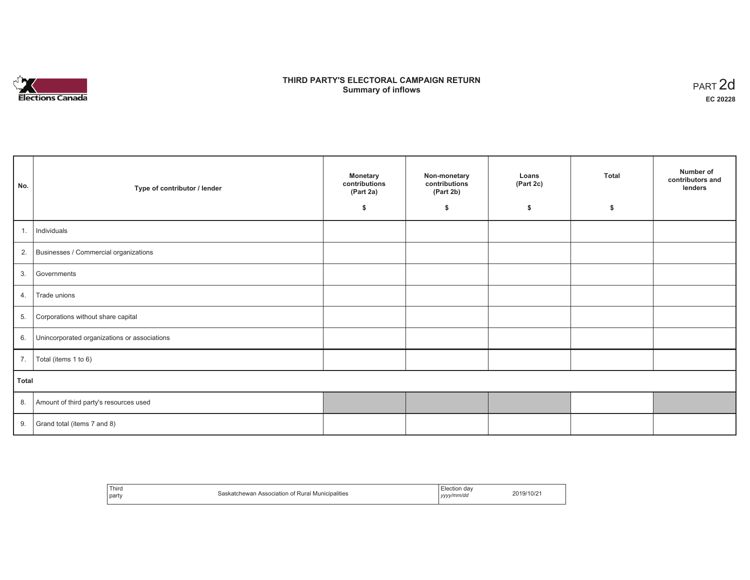

# **THIRD PARTY'S ELECTORAL CAMPAIGN RETURN Summary of inflows** PART 2d

| No.          | Type of contributor / lender                 | <b>Monetary</b><br>contributions<br>(Part 2a) | Non-monetary<br>contributions<br>(Part 2b) | Loans<br>(Part 2c) | <b>Total</b> | Number of<br>contributors and<br>lenders |
|--------------|----------------------------------------------|-----------------------------------------------|--------------------------------------------|--------------------|--------------|------------------------------------------|
|              |                                              | \$                                            | \$                                         | \$                 | \$           |                                          |
| 1.           | Individuals                                  |                                               |                                            |                    |              |                                          |
| 2.           | Businesses / Commercial organizations        |                                               |                                            |                    |              |                                          |
| 3.           | Governments                                  |                                               |                                            |                    |              |                                          |
| 4.           | Trade unions                                 |                                               |                                            |                    |              |                                          |
| 5.           | Corporations without share capital           |                                               |                                            |                    |              |                                          |
| 6.           | Unincorporated organizations or associations |                                               |                                            |                    |              |                                          |
| 7.           | Total (items 1 to 6)                         |                                               |                                            |                    |              |                                          |
| <b>Total</b> |                                              |                                               |                                            |                    |              |                                          |
| 8.           | Amount of third party's resources used       |                                               |                                            |                    |              |                                          |
| 9.           | Grand total (items 7 and 8)                  |                                               |                                            |                    |              |                                          |

| Third | $\cdots$                            | ∃lection dav | 2019/10/2 |
|-------|-------------------------------------|--------------|-----------|
|       | Saskatchewan                        | vyyy/mm/da   |           |
| party | Association of Rural Municipalities |              |           |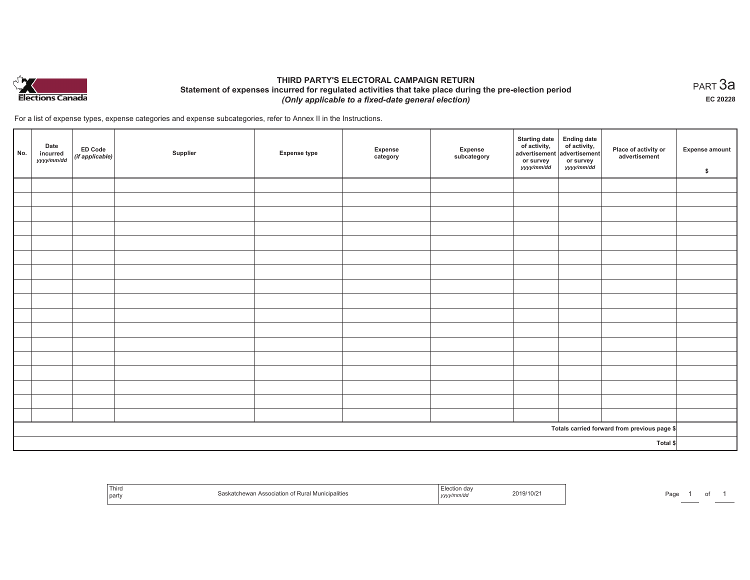

## **THIRD PARTY'S ELECTORAL CAMPAIGN RETURN Statement of expenses incurred for regulated activities that take place during the pre-election period**  *(Only applicable to a fixed-date general election)*

For a list of expense types, expense categories and expense subcategories, refer to Annex II in the Instructions.

| No. | Date<br>incurred<br>yyyy/mm/dd | <b>ED Code</b><br>(if applicable) | Supplier | <b>Expense type</b> | Expense<br>category | Expense<br>subcategory | Starting date<br>of activity,<br>advertisement<br>or survey<br>yyyy/mm/dd | Ending date<br>of activity,<br>advertisement<br>or survey<br>yyyy/mm/dd | Place of activity or<br>advertisement        | <b>Expense amount</b><br>\$ |
|-----|--------------------------------|-----------------------------------|----------|---------------------|---------------------|------------------------|---------------------------------------------------------------------------|-------------------------------------------------------------------------|----------------------------------------------|-----------------------------|
|     |                                |                                   |          |                     |                     |                        |                                                                           |                                                                         |                                              |                             |
|     |                                |                                   |          |                     |                     |                        |                                                                           |                                                                         |                                              |                             |
|     |                                |                                   |          |                     |                     |                        |                                                                           |                                                                         |                                              |                             |
|     |                                |                                   |          |                     |                     |                        |                                                                           |                                                                         |                                              |                             |
|     |                                |                                   |          |                     |                     |                        |                                                                           |                                                                         |                                              |                             |
|     |                                |                                   |          |                     |                     |                        |                                                                           |                                                                         |                                              |                             |
|     |                                |                                   |          |                     |                     |                        |                                                                           |                                                                         |                                              |                             |
|     |                                |                                   |          |                     |                     |                        |                                                                           |                                                                         |                                              |                             |
|     |                                |                                   |          |                     |                     |                        |                                                                           |                                                                         |                                              |                             |
|     |                                |                                   |          |                     |                     |                        |                                                                           |                                                                         |                                              |                             |
|     |                                |                                   |          |                     |                     |                        |                                                                           |                                                                         |                                              |                             |
|     |                                |                                   |          |                     |                     |                        |                                                                           |                                                                         |                                              |                             |
|     |                                |                                   |          |                     |                     |                        |                                                                           |                                                                         |                                              |                             |
|     |                                |                                   |          |                     |                     |                        |                                                                           |                                                                         |                                              |                             |
|     |                                |                                   |          |                     |                     |                        |                                                                           |                                                                         |                                              |                             |
|     |                                |                                   |          |                     |                     |                        |                                                                           |                                                                         |                                              |                             |
|     |                                |                                   |          |                     |                     |                        |                                                                           |                                                                         |                                              |                             |
|     |                                |                                   |          |                     |                     |                        |                                                                           |                                                                         | Totals carried forward from previous page \$ |                             |
|     |                                |                                   |          |                     |                     |                        |                                                                           |                                                                         | Total \$                                     |                             |

| Third<br>  parl | ™unicipalitie。<br>ASSOCIATIO<br>145641<br>ונס שע | 10/z<br>20 I.Y<br>,,,,, | аu |  |
|-----------------|--------------------------------------------------|-------------------------|----|--|
|-----------------|--------------------------------------------------|-------------------------|----|--|

 $_{\sf PART}$ 3a **EC 20228**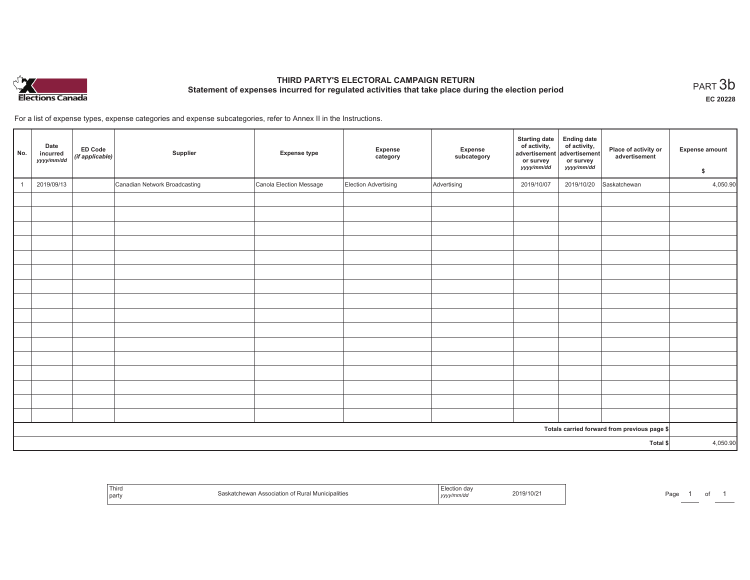

# **THIRD PARTY'S ELECTORAL CAMPAIGN RETURN Statement of expenses incurred for regulated activities that take place during the election period**<br>PART  $3\mathsf{b}$

**EC 20228**

For a list of expense types, expense categories and expense subcategories, refer to Annex II in the Instructions.

| No. | Date<br>incurred<br>yyyy/mm/dd | <b>ED Code</b><br>(if applicable) | Supplier                      | <b>Expense type</b>     | Expense<br>category  | Expense<br>subcategory | <b>Starting date</b><br>of activity,<br>advertisement<br>or survey<br>yyyy/mm/dd | Ending date<br>of activity,<br>advertisement<br>or survey<br>yyyy/mm/dd | Place of activity or<br>advertisement        | <b>Expense amount</b><br>\$ |
|-----|--------------------------------|-----------------------------------|-------------------------------|-------------------------|----------------------|------------------------|----------------------------------------------------------------------------------|-------------------------------------------------------------------------|----------------------------------------------|-----------------------------|
|     | 2019/09/13                     |                                   | Canadian Network Broadcasting | Canola Election Message | Election Advertising | Advertising            | 2019/10/07                                                                       | 2019/10/20                                                              | Saskatchewan                                 | 4,050.90                    |
|     |                                |                                   |                               |                         |                      |                        |                                                                                  |                                                                         |                                              |                             |
|     |                                |                                   |                               |                         |                      |                        |                                                                                  |                                                                         |                                              |                             |
|     |                                |                                   |                               |                         |                      |                        |                                                                                  |                                                                         |                                              |                             |
|     |                                |                                   |                               |                         |                      |                        |                                                                                  |                                                                         |                                              |                             |
|     |                                |                                   |                               |                         |                      |                        |                                                                                  |                                                                         |                                              |                             |
|     |                                |                                   |                               |                         |                      |                        |                                                                                  |                                                                         |                                              |                             |
|     |                                |                                   |                               |                         |                      |                        |                                                                                  |                                                                         |                                              |                             |
|     |                                |                                   |                               |                         |                      |                        |                                                                                  |                                                                         |                                              |                             |
|     |                                |                                   |                               |                         |                      |                        |                                                                                  |                                                                         |                                              |                             |
|     |                                |                                   |                               |                         |                      |                        |                                                                                  |                                                                         |                                              |                             |
|     |                                |                                   |                               |                         |                      |                        |                                                                                  |                                                                         |                                              |                             |
|     |                                |                                   |                               |                         |                      |                        |                                                                                  |                                                                         |                                              |                             |
|     |                                |                                   |                               |                         |                      |                        |                                                                                  |                                                                         |                                              |                             |
|     |                                |                                   |                               |                         |                      |                        |                                                                                  |                                                                         |                                              |                             |
|     |                                |                                   |                               |                         |                      |                        |                                                                                  |                                                                         |                                              |                             |
|     |                                |                                   |                               |                         |                      |                        |                                                                                  |                                                                         |                                              |                             |
|     |                                |                                   |                               |                         |                      |                        |                                                                                  |                                                                         | Totals carried forward from previous page \$ |                             |
|     |                                |                                   |                               |                         |                      |                        |                                                                                  |                                                                         | Total \$                                     | 4,050.90                    |

| Third<br>  party | uanne | ,,,,, | 2019/10/2 | ∩ה⊏<br>'du |  |  |
|------------------|-------|-------|-----------|------------|--|--|
|------------------|-------|-------|-----------|------------|--|--|